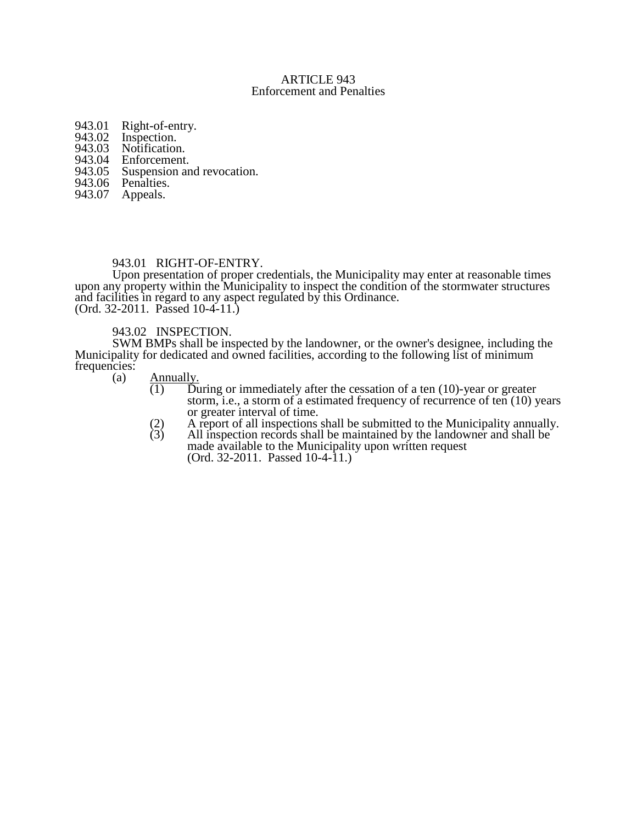### ARTICLE 943 Enforcement and Penalties

- 943.01 Right-of-entry.<br>943.02 Inspection.
- 943.02 Inspection.<br>943.03 Notification
- 
- 943.03 Notification.<br>943.04 Enforcement. 943.04 Enforcement.<br>943.05 Suspension and
- 943.05 Suspension and revocation.<br>943.06 Penalties.
- 943.06 Penalties.<br>943.07 Appeals.
- Appeals.

### 943.01 RIGHT-OF-ENTRY.

Upon presentation of proper credentials, the Municipality may enter at reasonable times upon any property within the Municipality to inspect the condition of the stormwater structures and facilities in regard to any aspect regulated by this Ordinance. (Ord. 32-2011. Passed 10-4-11.)

## 943.02 INSPECTION.

SWM BMPs shall be inspected by the landowner, or the owner's designee, including the Municipality for dedicated and owned facilities, according to the following list of minimum frequencies:<br>(a)

- $\frac{\text{Annually.}}{(1)}$  Du
	- $\overline{D}$ uring or immediately after the cessation of a ten (10)-year or greater storm, i.e., a storm of a estimated frequency of recurrence of ten  $(10)$  years or greater interval of time.
	- (2) A report of all inspections shall be submitted to the Municipality annually.
	- $(3)$  All inspection records shall be maintained by the landowner and shall be made available to the Municipality upon written request (Ord. 32-2011. Passed 10-4-11.)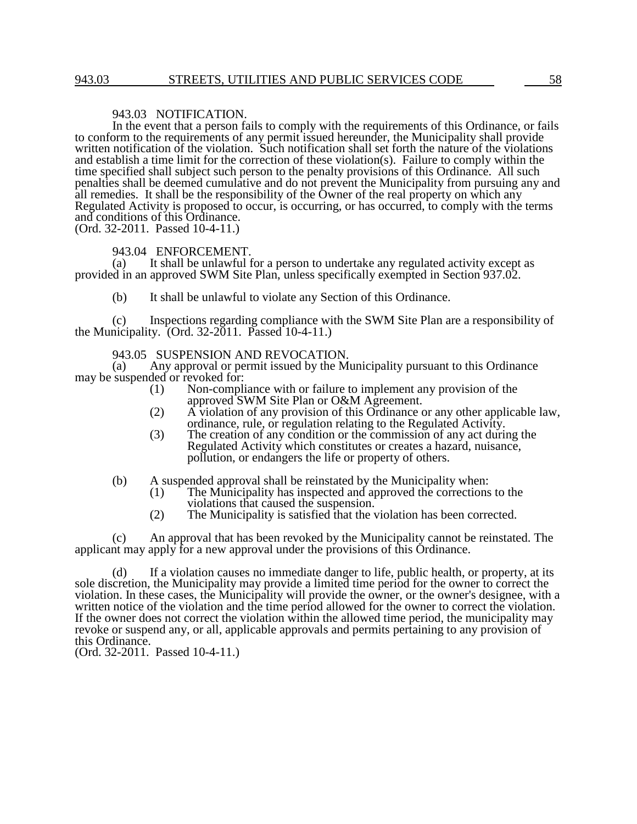#### 943.03 NOTIFICATION.

In the event that a person fails to comply with the requirements of this Ordinance, or fails to conform to the requirements of any permit issued hereunder, the Municipality shall provide written notification of the violation. Such notification shall set forth the nature of the violations and establish a time limit for the correction of these violation(s). Failure to comply within the time specified shall subject such person to the penalty provisions of this Ordinance. All such penalties shall be deemed cumulative and do not prevent the Municipality from pursuing any and all remedies. It shall be the responsibility of the Owner of the real property on which any Regulated Activity is proposed to occur, is occurring, or has occurred, to comply with the terms and conditions of this Ordinance.

(Ord. 32-2011. Passed 10-4-11.)

## 943.04 ENFORCEMENT.<br>(a) It shall be unlawful f

It shall be unlawful for a person to undertake any regulated activity except as provided in an approved SWM Site Plan, unless specifically exempted in Section 937.02.

(b) It shall be unlawful to violate any Section of this Ordinance.

(c) Inspections regarding compliance with the SWM Site Plan are a responsibility of the Municipality. (Ord. 32-2011. Passed 10-4-11.)

# 943.05 SUSPENSION AND REVOCATION.<br>(a) Any approval or permit issued by the Mi

Any approval or permit issued by the Municipality pursuant to this Ordinance may be suspended or revoked for:

- (1) Non-compliance with or failure to implement any provision of the approved SWM Site Plan or O&M Agreement.
- (2) A violation of any provision of this Ordinance or any other applicable law, ordinance, rule, or regulation relating to the Regulated Activity.
- (3) The creation of any condition or the commission of any act during the Regulated Activity which constitutes or creates a hazard, nuisance, pollution, or endangers the life or property of others.

# (b) A suspended approval shall be reinstated by the Municipality when:<br>(1) The Municipality has inspected and approved the corrections

- The Municipality has inspected and approved the corrections to the violations that caused the suspension.
- (2) The Municipality is satisfied that the violation has been corrected.

(c) An approval that has been revoked by the Municipality cannot be reinstated. The applicant may apply for a new approval under the provisions of this Ordinance.

(d) If a violation causes no immediate danger to life, public health, or property, at its sole discretion, the Municipality may provide a limited time period for the owner to correct the violation. In these cases, the Municipality will provide the owner, or the owner's designee, with a written notice of the violation and the time period allowed for the owner to correct the violation. If the owner does not correct the violation within the allowed time period, the municipality may revoke or suspend any, or all, applicable approvals and permits pertaining to any provision of this Ordinance.

(Ord. 32-2011. Passed 10-4-11.)